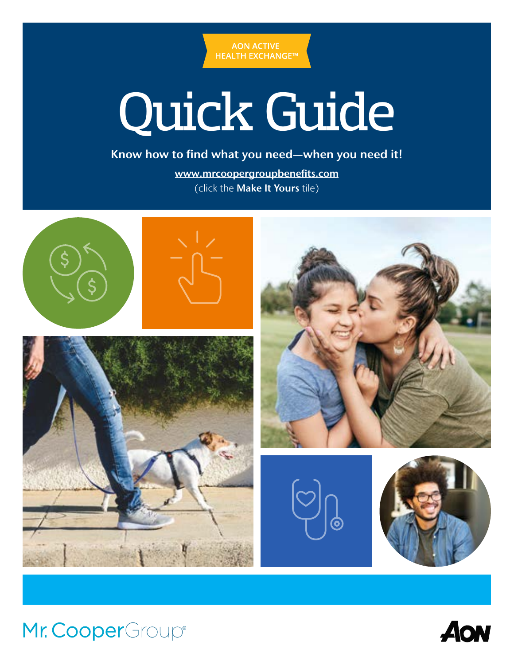

# Quick Guide

Know how to find what you need—when you need it!

[www.mrcoopergroupbenefits.com](https://leplb1130.upoint.alight.com/web/mrcooper/preauth-landing/?forkPage=false) (click the Make It Yours tile)





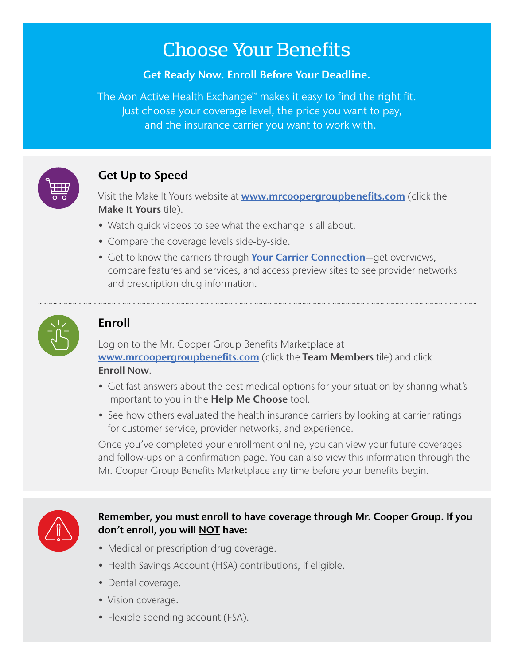# Choose Your Benefits

#### Get Ready Now. Enroll Before Your Deadline.

The Aon Active Health Exchange™ makes it easy to find the right fit. Just choose your coverage level, the price you want to pay, and the insurance carrier you want to work with.



## Get Up to Speed

Visit the Make It Yours website at **[www.mrcoopergroupbenefits.com](https://leplb1130.upoint.alight.com/web/mrcooper/preauth-landing/?forkPage=false)** (click the Make It Yours tile).

- Watch quick videos to see what the exchange is all about.
- Compare the coverage levels side-by-side.
- Get to know the carriers through [Your Carrier Connection](https://mrcoopergroup.makeityoursource.com/your-carrier-connection)-get overviews, compare features and services, and access preview sites to see provider networks and prescription drug information.



## Enroll

Log on to the Mr. Cooper Group Benefits Marketplace at [www.mrcoopergroupbenefits.com](https://www.mrcoopergroupbenefits.com/) (click the Team Members tile) and click Enroll Now.

- Get fast answers about the best medical options for your situation by sharing what's important to you in the **Help Me Choose** tool.
- See how others evaluated the health insurance carriers by looking at carrier ratings for customer service, provider networks, and experience.

Once you've completed your enrollment online, you can view your future coverages and follow-ups on a confirmation page. You can also view this information through the Mr. Cooper Group Benefits Marketplace any time before your benefits begin.



#### Remember, you must enroll to have coverage through Mr. Cooper Group. If you don't enroll, you will **NOT** have:

- Medical or prescription drug coverage.
- Health Savings Account (HSA) contributions, if eligible.
- Dental coverage.
- Vision coverage.
- Flexible spending account (FSA).